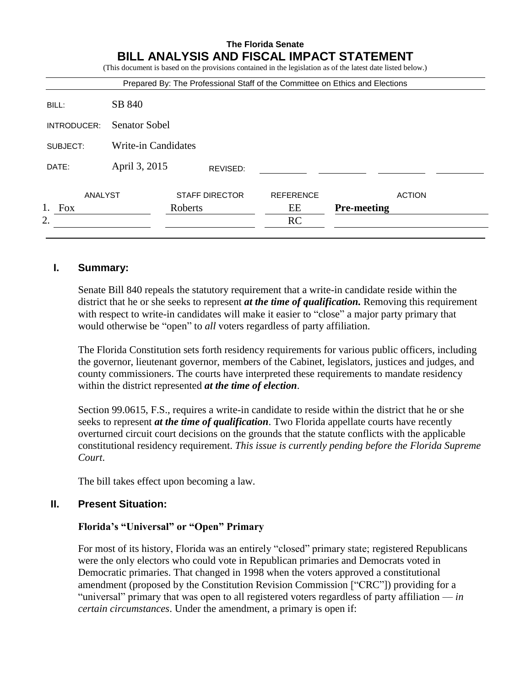# **The Florida Senate BILL ANALYSIS AND FISCAL IMPACT STATEMENT** (This document is based on the provisions contained in the legislation as of the latest date listed below.) Prepared By: The Professional Staff of the Committee on Ethics and Elections BILL: SB 840 INTRODUCER: Senator Sobel SUBJECT: Write-in Candidates DATE: April 3, 2015 ANALYST STAFF DIRECTOR REFERENCE ACTION 1. Fox Roberts EE **Pre-meeting** 2. RC REVISED:

# **I. Summary:**

Senate Bill 840 repeals the statutory requirement that a write-in candidate reside within the district that he or she seeks to represent *at the time of qualification.* Removing this requirement with respect to write-in candidates will make it easier to "close" a major party primary that would otherwise be "open" to *all* voters regardless of party affiliation.

The Florida Constitution sets forth residency requirements for various public officers, including the governor, lieutenant governor, members of the Cabinet, legislators, justices and judges, and county commissioners. The courts have interpreted these requirements to mandate residency within the district represented *at the time of election*.

Section 99.0615, F.S., requires a write-in candidate to reside within the district that he or she seeks to represent *at the time of qualification*. Two Florida appellate courts have recently overturned circuit court decisions on the grounds that the statute conflicts with the applicable constitutional residency requirement. *This issue is currently pending before the Florida Supreme Court*.

The bill takes effect upon becoming a law.

# **II. Present Situation:**

#### **Florida's "Universal" or "Open" Primary**

For most of its history, Florida was an entirely "closed" primary state; registered Republicans were the only electors who could vote in Republican primaries and Democrats voted in Democratic primaries. That changed in 1998 when the voters approved a constitutional amendment (proposed by the Constitution Revision Commission ["CRC"]) providing for a "universal" primary that was open to all registered voters regardless of party affiliation — *in certain circumstances*. Under the amendment, a primary is open if: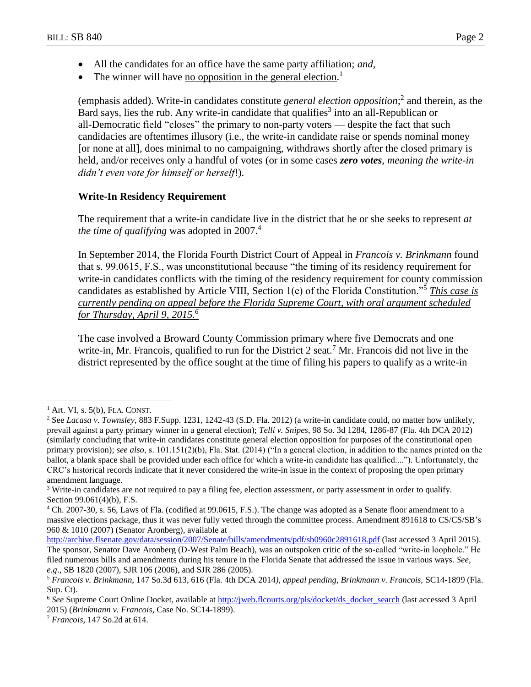- All the candidates for an office have the same party affiliation; *and*,
- The winner will have no opposition in the general election.<sup>1</sup>

(emphasis added). Write-in candidates constitute *general election opposition*; 2 and therein, as the Bard says, lies the rub. Any write-in candidate that qualifies<sup>3</sup> into an all-Republican or all-Democratic field "closes" the primary to non-party voters — despite the fact that such candidacies are oftentimes illusory (i.e., the write-in candidate raise or spends nominal money [or none at all], does minimal to no campaigning, withdraws shortly after the closed primary is held, and/or receives only a handful of votes (or in some cases *zero votes, meaning the write-in didn't even vote for himself or herself*!).

## **Write-In Residency Requirement**

The requirement that a write-in candidate live in the district that he or she seeks to represent *at the time of qualifying* was adopted in 2007. 4

In September 2014, the Florida Fourth District Court of Appeal in *Francois v. Brinkmann* found that s. 99.0615, F.S., was unconstitutional because "the timing of its residency requirement for write-in candidates conflicts with the timing of the residency requirement for county commission candidates as established by Article VIII, Section 1(e) of the Florida Constitution."<sup>5</sup> *This case is currently pending on appeal before the Florida Supreme Court, with oral argument scheduled for Thursday, April 9, 2015.<sup>6</sup>*

The case involved a Broward County Commission primary where five Democrats and one write-in, Mr. Francois, qualified to run for the District 2 seat.<sup>7</sup> Mr. Francois did not live in the district represented by the office sought at the time of filing his papers to qualify as a write-in

 $\overline{a}$ 

 $<sup>1</sup>$  Art. VI, s. 5(b), FLA. CONST.</sup>

<sup>2</sup> See *Lacasa v. Townsley*, 883 F.Supp. 1231, 1242-43 (S.D. Fla. 2012) (a write-in candidate could, no matter how unlikely, prevail against a party primary winner in a general election); *Telli v. Snipes*, 98 So. 3d 1284, 1286-87 (Fla. 4th DCA 2012) (similarly concluding that write-in candidates constitute general election opposition for purposes of the constitutional open primary provision); *see also*, s. 101.151(2)(b), Fla. Stat. (2014) ("In a general election, in addition to the names printed on the ballot, a blank space shall be provided under each office for which a write-in candidate has qualified...."). Unfortunately, the CRC's historical records indicate that it never considered the write-in issue in the context of proposing the open primary amendment language.

<sup>&</sup>lt;sup>3</sup> Write-in candidates are not required to pay a filing fee, election assessment, or party assessment in order to qualify. Section 99.061(4)(b), F.S.

<sup>4</sup> Ch. 2007-30, s. 56, Laws of Fla. (codified at 99.0615, F.S.). The change was adopted as a Senate floor amendment to a massive elections package, thus it was never fully vetted through the committee process. Amendment 891618 to CS/CS/SB's 960 & 1010 (2007) (Senator Aronberg), available at

<http://archive.flsenate.gov/data/session/2007/Senate/bills/amendments/pdf/sb0960c2891618.pdf> (last accessed 3 April 2015). The sponsor, Senator Dave Aronberg (D-West Palm Beach), was an outspoken critic of the so-called "write-in loophole." He filed numerous bills and amendments during his tenure in the Florida Senate that addressed the issue in various ways. *See, e.g*., SB 1820 (2007), SJR 106 (2006), and SJR 286 (2005).

<sup>5</sup> *Francois v. Brinkmann*, 147 So.3d 613, 616 (Fla. 4th DCA 2014*), appeal pending, Brinkmann v. Francois,* SC14-1899 (Fla. Sup. Ct).

<sup>&</sup>lt;sup>6</sup> See Supreme Court Online Docket, available at [http://jweb.flcourts.org/pls/docket/ds\\_docket\\_search](http://jweb.flcourts.org/pls/docket/ds_docket_search) (last accessed 3 April 2015) (*Brinkmann v. Francois*, Case No. SC14-1899).

<sup>7</sup> *Francois,* 147 So.2d at 614.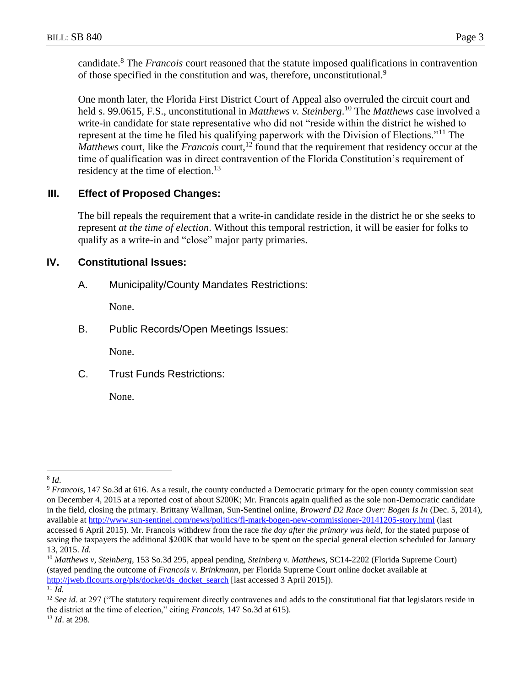candidate.<sup>8</sup> The *Francois* court reasoned that the statute imposed qualifications in contravention of those specified in the constitution and was, therefore, unconstitutional.<sup>9</sup>

One month later, the Florida First District Court of Appeal also overruled the circuit court and held s. 99.0615, F.S., unconstitutional in *Matthews v. Steinberg*. <sup>10</sup> The *Matthews* case involved a write-in candidate for state representative who did not "reside within the district he wished to represent at the time he filed his qualifying paperwork with the Division of Elections."<sup>11</sup> The *Matthews* court, like the *Francois* court,<sup>12</sup> found that the requirement that residency occur at the time of qualification was in direct contravention of the Florida Constitution's requirement of residency at the time of election.<sup>13</sup>

# **III. Effect of Proposed Changes:**

The bill repeals the requirement that a write-in candidate reside in the district he or she seeks to represent *at the time of election*. Without this temporal restriction, it will be easier for folks to qualify as a write-in and "close" major party primaries.

# **IV. Constitutional Issues:**

A. Municipality/County Mandates Restrictions:

None.

B. Public Records/Open Meetings Issues:

None.

C. Trust Funds Restrictions:

None.

 $\overline{a}$ 8 *Id*.

<sup>9</sup> *Francois*, 147 So.3d at 616. As a result, the county conducted a Democratic primary for the open county commission seat on December 4, 2015 at a reported cost of about \$200K; Mr. Francois again qualified as the sole non-Democratic candidate in the field, closing the primary. Brittany Wallman, Sun-Sentinel online, *Broward D2 Race Over: Bogen Is In* (Dec. 5, 2014), available at<http://www.sun-sentinel.com/news/politics/fl-mark-bogen-new-commissioner-20141205-story.html> (last accessed 6 April 2015). Mr. Francois withdrew from the race *the day after the primary was held*, for the stated purpose of saving the taxpayers the additional \$200K that would have to be spent on the special general election scheduled for January 13, 2015. *Id.*

<sup>10</sup> *Matthews v, Steinberg*, 153 So.3d 295, appeal pending, *Steinberg v. Matthews*, SC14-2202 (Florida Supreme Court) (stayed pending the outcome of *Francois v. Brinkmann,* per Florida Supreme Court online docket available at [http://jweb.flcourts.org/pls/docket/ds\\_docket\\_search](http://jweb.flcourts.org/pls/docket/ds_docket_search) [last accessed 3 April 2015]).  $^{11}$  *Id.* 

<sup>&</sup>lt;sup>12</sup> *See id.* at 297 ("The statutory requirement directly contravenes and adds to the constitutional fiat that legislators reside in the district at the time of election," citing *Francois*, 147 So.3d at 615). <sup>13</sup> *Id*. at 298.